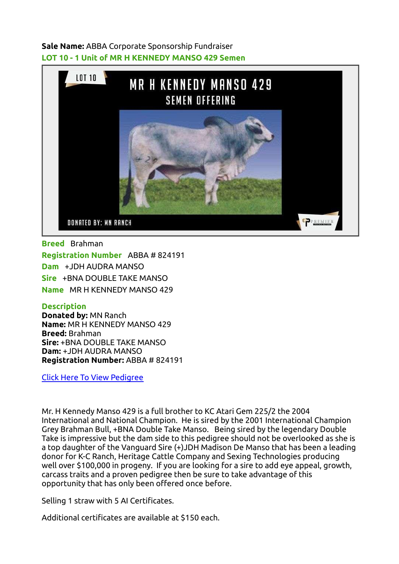## Sale Name: ABBA Corporate Sponsorship Fundraiser LOT 10 - 1 Unit of MR H KENNEDY MANSO 429 Semen



Breed Brahman Registration Number ABBA # 824191 Dam +JDH AUDRA MANSO Sire +BNA DOUBLE TAKE MANSO Name MR H KENNEDY MANSO 429

## **Description**

Donated by: MN Ranch Name: MR H KENNEDY MANSO 429 Breed: Brahman Sire: +BNA DOUBLE TAKE MANSO Dam: +JDH AUDRA MANSO Registration Number: ABBA # 824191

[Click Here To View Pedigree](https://brahman.digitalbeef.com/modules.php?op=modload&name=_animal&file=_animal&animal_registration=824191)

Mr. H Kennedy Manso 429 is a full brother to KC Atari Gem 225/2 the 2004 International and National Champion. He is sired by the 2001 International Champion Grey Brahman Bull, +BNA Double Take Manso. Being sired by the legendary Double Take is impressive but the dam side to this pedigree should not be overlooked as she is a top daughter of the Vanguard Sire (+)JDH Madison De Manso that has been a leading donor for K-C Ranch, Heritage Cattle Company and Sexing Technologies producing well over \$100,000 in progeny. If you are looking for a sire to add eye appeal, growth, carcass traits and a proven pedigree then be sure to take advantage of this opportunity that has only been offered once before.

Selling 1 straw with 5 AI Certificates.

Additional certificates are available at \$150 each.